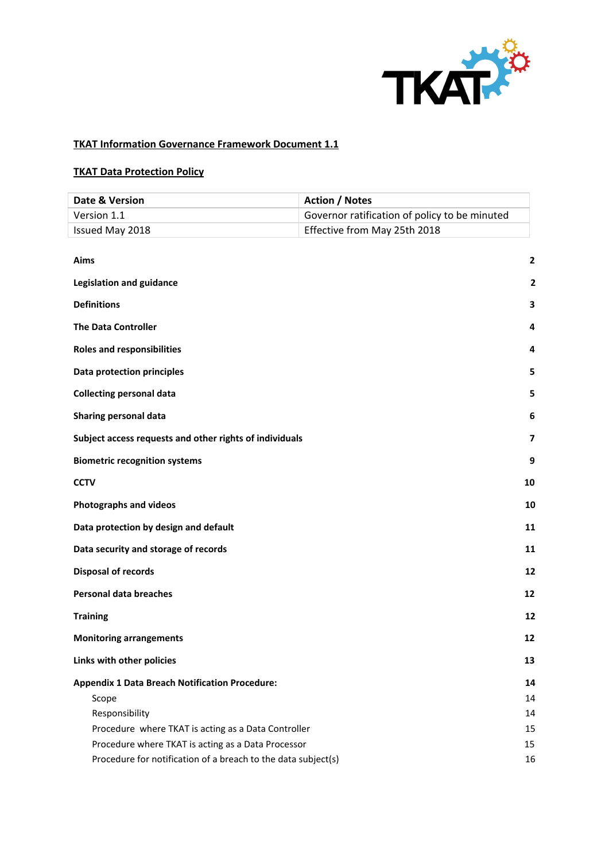

# **TKAT Information Governance Framework Document 1.1**

# **TKAT Data Protection Policy**

| Date & Version                                                | <b>Action / Notes</b>                         |
|---------------------------------------------------------------|-----------------------------------------------|
| Version 1.1                                                   | Governor ratification of policy to be minuted |
| Issued May 2018                                               | Effective from May 25th 2018                  |
|                                                               |                                               |
| Aims                                                          | $\mathbf{2}$                                  |
| <b>Legislation and guidance</b>                               | 2                                             |
| <b>Definitions</b>                                            | 3                                             |
| <b>The Data Controller</b>                                    | 4                                             |
| <b>Roles and responsibilities</b>                             | 4                                             |
| Data protection principles                                    | 5                                             |
| <b>Collecting personal data</b>                               | 5                                             |
| Sharing personal data                                         | 6                                             |
| Subject access requests and other rights of individuals       | 7                                             |
| <b>Biometric recognition systems</b>                          | 9                                             |
| <b>CCTV</b>                                                   | 10                                            |
| <b>Photographs and videos</b>                                 | 10                                            |
| Data protection by design and default                         | 11                                            |
| Data security and storage of records                          | 11                                            |
| <b>Disposal of records</b>                                    | 12                                            |
| <b>Personal data breaches</b>                                 | 12                                            |
| <b>Training</b>                                               | 12                                            |
| <b>Monitoring arrangements</b>                                | 12                                            |
| Links with other policies                                     | 13                                            |
| <b>Appendix 1 Data Breach Notification Procedure:</b>         | 14                                            |
| Scope                                                         | 14                                            |
| Responsibility                                                | 14                                            |
| Procedure where TKAT is acting as a Data Controller           | 15                                            |
| Procedure where TKAT is acting as a Data Processor            | 15                                            |
| Procedure for notification of a breach to the data subject(s) | 16                                            |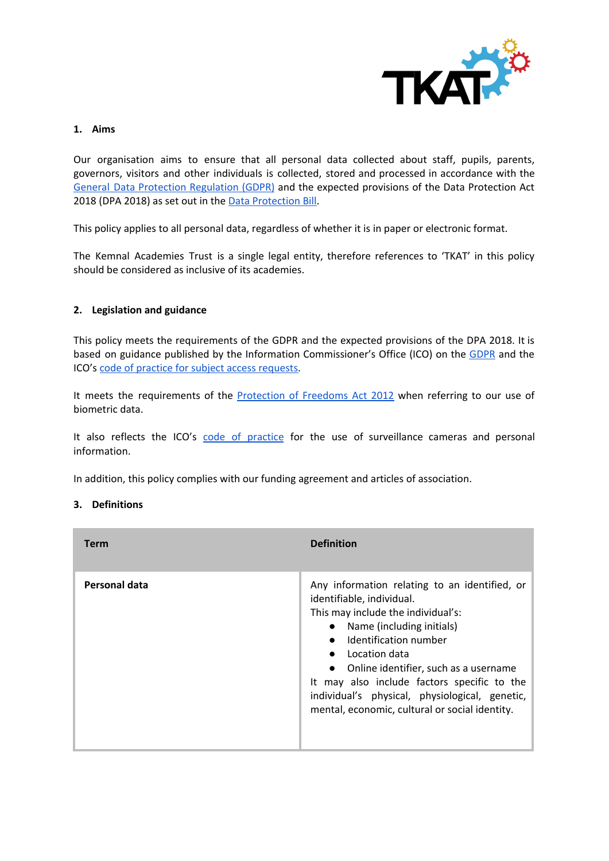

#### **1. Aims**

Our organisation aims to ensure that all personal data collected about staff, pupils, parents, governors, visitors and other individuals is collected, stored and processed in accordance with the General Data Protection [Regulation](http://data.consilium.europa.eu/doc/document/ST-5419-2016-INIT/en/pdf) (GDPR) and the expected provisions of the Data Protection Act 2018 ([D](https://publications.parliament.uk/pa/bills/cbill/2017-2019/0153/18153.pdf)PA 2018) as set out in the Data [Protection](https://publications.parliament.uk/pa/bills/cbill/2017-2019/0153/18153.pdf) Bill.

This policy applies to all personal data, regardless of whether it is in paper or electronic format.

The Kemnal Academies Trust is a single legal entity, therefore references to 'TKAT' in this policy should be considered as inclusive of its academies.

#### <span id="page-1-0"></span>**2. Legislation and guidance**

This policy meets the requirements of the GDPR and the expected provisions of the DPA 2018. It is bas[e](https://ico.org.uk/for-organisations/guide-to-the-general-data-protection-regulation-gdpr/)d on guidance published by the Information Commissioner's Office (ICO) on the [GDPR](https://ico.org.uk/for-organisations/guide-to-the-general-data-protection-regulation-gdpr/) and the ICO's [c](https://ico.org.uk/media/for-organisations/documents/2014223/subject-access-code-of-practice.pdf)ode of practice for subject access [requests.](https://ico.org.uk/media/for-organisations/documents/2014223/subject-access-code-of-practice.pdf)

It m[e](https://www.legislation.gov.uk/ukpga/2012/9/part/1/chapter/2)ets the requirements of the [Protection](https://www.legislation.gov.uk/ukpga/2012/9/part/1/chapter/2) of Freedoms Act 2012 when referring to our use of biometric data.

It also refle[c](https://ico.org.uk/media/for-organisations/documents/1542/cctv-code-of-practice.pdf)ts the ICO's code of [practice](https://ico.org.uk/media/for-organisations/documents/1542/cctv-code-of-practice.pdf) for the use of surveillance cameras and personal information.

<span id="page-1-1"></span>In addition, this policy complies with our funding agreement and articles of association.

#### **3. Definitions**

| <b>Term</b>   | <b>Definition</b>                                                                                                                                                                                                                                                                                                                                                                     |
|---------------|---------------------------------------------------------------------------------------------------------------------------------------------------------------------------------------------------------------------------------------------------------------------------------------------------------------------------------------------------------------------------------------|
| Personal data | Any information relating to an identified, or<br>identifiable, individual.<br>This may include the individual's:<br>Name (including initials)<br>Identification number<br>Location data<br>• Online identifier, such as a username<br>It may also include factors specific to the<br>individual's physical, physiological, genetic,<br>mental, economic, cultural or social identity. |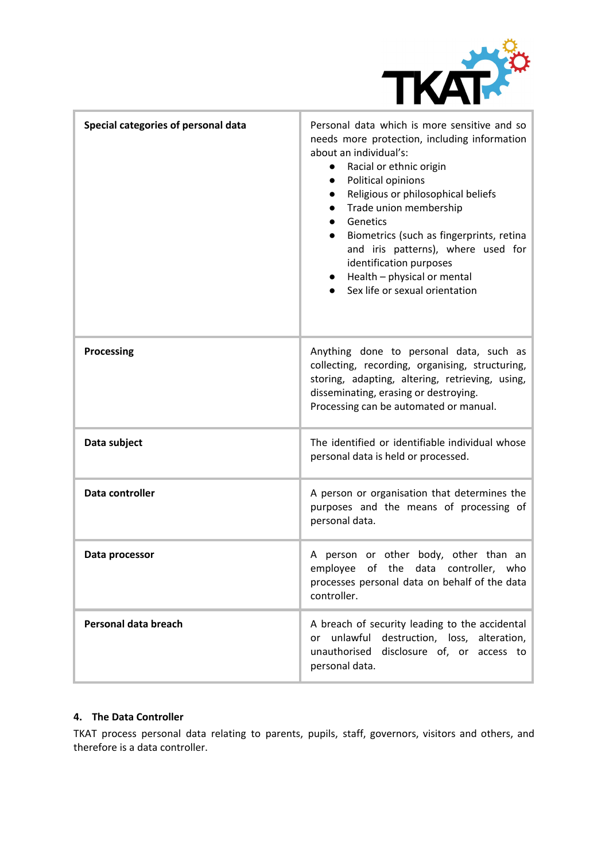

| Special categories of personal data | Personal data which is more sensitive and so<br>needs more protection, including information<br>about an individual's:<br>Racial or ethnic origin<br>$\bullet$<br>Political opinions<br>Religious or philosophical beliefs<br>Trade union membership<br>Genetics<br>Biometrics (such as fingerprints, retina<br>$\bullet$<br>and iris patterns), where used for<br>identification purposes<br>$\bullet$ Health – physical or mental<br>Sex life or sexual orientation |
|-------------------------------------|-----------------------------------------------------------------------------------------------------------------------------------------------------------------------------------------------------------------------------------------------------------------------------------------------------------------------------------------------------------------------------------------------------------------------------------------------------------------------|
| <b>Processing</b>                   | Anything done to personal data, such as<br>collecting, recording, organising, structuring,<br>storing, adapting, altering, retrieving, using,<br>disseminating, erasing or destroying.<br>Processing can be automated or manual.                                                                                                                                                                                                                                      |
| Data subject                        | The identified or identifiable individual whose<br>personal data is held or processed.                                                                                                                                                                                                                                                                                                                                                                                |
| Data controller                     | A person or organisation that determines the<br>purposes and the means of processing of<br>personal data.                                                                                                                                                                                                                                                                                                                                                             |
| Data processor                      | A person or other body, other than an<br>of the<br>employee<br>data controller,<br>who<br>processes personal data on behalf of the data<br>controller.                                                                                                                                                                                                                                                                                                                |
| Personal data breach                | A breach of security leading to the accidental<br>unlawful destruction, loss, alteration,<br>or<br>unauthorised disclosure of, or access to<br>personal data.                                                                                                                                                                                                                                                                                                         |

#### <span id="page-2-0"></span>**4. The Data Controller**

TKAT process personal data relating to parents, pupils, staff, governors, visitors and others, and therefore is a data controller.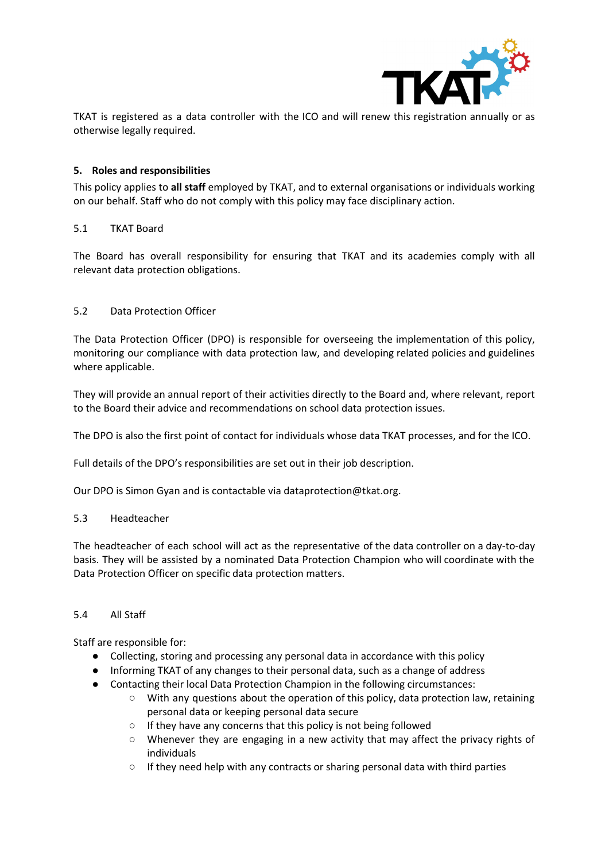

TKAT is registered as a data controller with the ICO and will renew this registration annually or as otherwise legally required.

# <span id="page-3-0"></span>**5. Roles and responsibilities**

This policy applies to **all staff** employed by TKAT, and to external organisations or individuals working on our behalf. Staff who do not comply with this policy may face disciplinary action.

#### 5.1 TKAT Board

The Board has overall responsibility for ensuring that TKAT and its academies comply with all relevant data protection obligations.

# 5.2 Data Protection Officer

The Data Protection Officer (DPO) is responsible for overseeing the implementation of this policy, monitoring our compliance with data protection law, and developing related policies and guidelines where applicable.

They will provide an annual report of their activities directly to the Board and, where relevant, report to the Board their advice and recommendations on school data protection issues.

The DPO is also the first point of contact for individuals whose data TKAT processes, and for the ICO.

Full details of the DPO's responsibilities are set out in their job description.

Our DPO is Simon Gyan and is contactable via dataprotection@tkat.org.

#### 5.3 Headteacher

The headteacher of each school will act as the representative of the data controller on a day-to-day basis. They will be assisted by a nominated Data Protection Champion who will coordinate with the Data Protection Officer on specific data protection matters.

#### 5.4 All Staff

Staff are responsible for:

- Collecting, storing and processing any personal data in accordance with this policy
- Informing TKAT of any changes to their personal data, such as a change of address
- Contacting their local Data Protection Champion in the following circumstances:
	- With any questions about the operation of this policy, data protection law, retaining personal data or keeping personal data secure
	- If they have any concerns that this policy is not being followed
	- Whenever they are engaging in a new activity that may affect the privacy rights of individuals
	- If they need help with any contracts or sharing personal data with third parties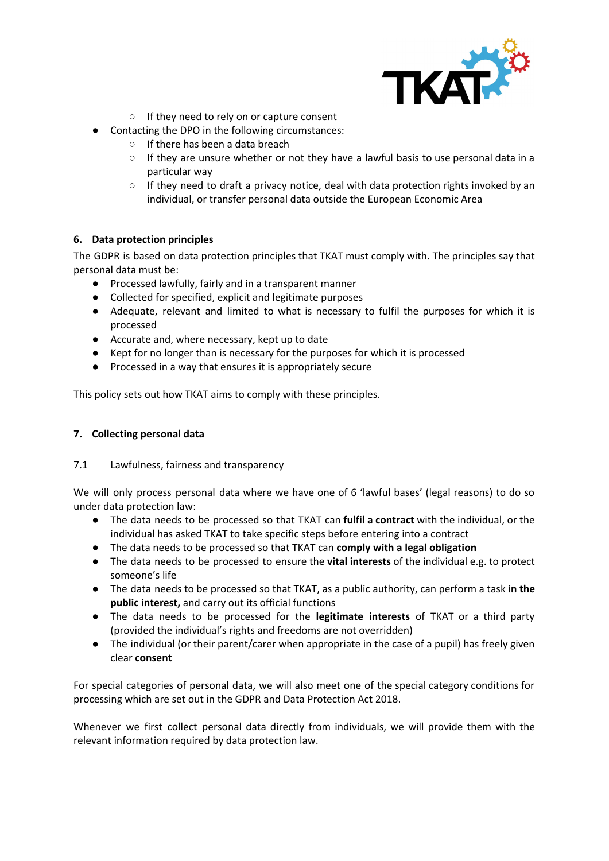

- If they need to rely on or capture consent
- Contacting the DPO in the following circumstances:
	- If there has been a data breach
	- If they are unsure whether or not they have a lawful basis to use personal data in a particular way
	- If they need to draft a privacy notice, deal with data protection rights invoked by an individual, or transfer personal data outside the European Economic Area

# <span id="page-4-0"></span>**6. Data protection principles**

The GDPR is based on data protection principles that TKAT must comply with. The principles say that personal data must be:

- Processed lawfully, fairly and in a transparent manner
- Collected for specified, explicit and legitimate purposes
- Adequate, relevant and limited to what is necessary to fulfil the purposes for which it is processed
- Accurate and, where necessary, kept up to date
- Kept for no longer than is necessary for the purposes for which it is processed
- Processed in a way that ensures it is appropriately secure

This policy sets out how TKAT aims to comply with these principles.

## <span id="page-4-1"></span>**7. Collecting personal data**

#### 7.1 Lawfulness, fairness and transparency

We will only process personal data where we have one of 6 'lawful bases' (legal reasons) to do so under data protection law:

- The data needs to be processed so that TKAT can **fulfil a contract** with the individual, or the individual has asked TKAT to take specific steps before entering into a contract
- The data needs to be processed so that TKAT can **comply with a legal obligation**
- The data needs to be processed to ensure the **vital interests** of the individual e.g. to protect someone's life
- The data needs to be processed so that TKAT, as a public authority, can perform a task **in the public interest,** and carry out its official functions
- The data needs to be processed for the **legitimate interests** of TKAT or a third party (provided the individual's rights and freedoms are not overridden)
- The individual (or their parent/carer when appropriate in the case of a pupil) has freely given clear **consent**

For special categories of personal data, we will also meet one of the special category conditions for processing which are set out in the GDPR and Data Protection Act 2018.

Whenever we first collect personal data directly from individuals, we will provide them with the relevant information required by data protection law.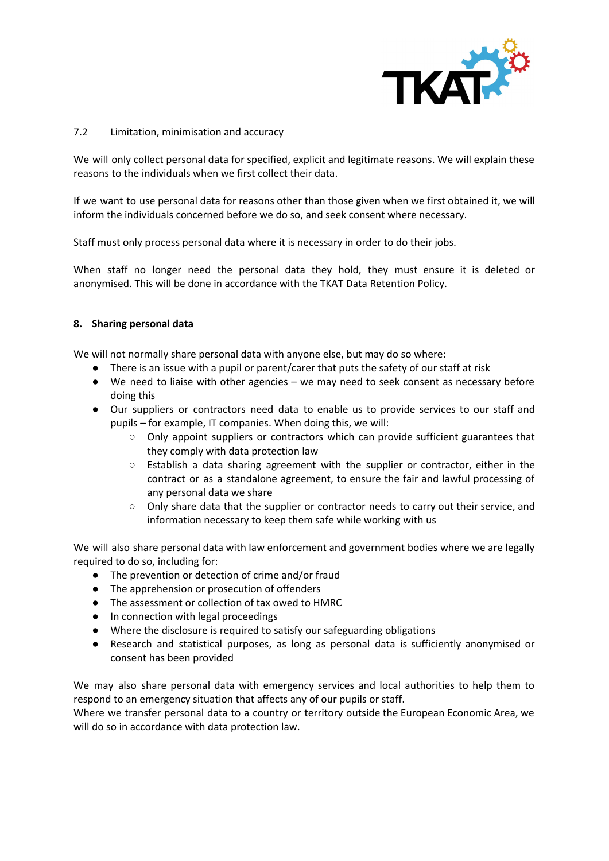

# 7.2 Limitation, minimisation and accuracy

We will only collect personal data for specified, explicit and legitimate reasons. We will explain these reasons to the individuals when we first collect their data.

If we want to use personal data for reasons other than those given when we first obtained it, we will inform the individuals concerned before we do so, and seek consent where necessary.

Staff must only process personal data where it is necessary in order to do their jobs.

When staff no longer need the personal data they hold, they must ensure it is deleted or anonymised. This will be done in accordance with the TKAT Data Retention Policy.

# <span id="page-5-0"></span>**8. Sharing personal data**

We will not normally share personal data with anyone else, but may do so where:

- There is an issue with a pupil or parent/carer that puts the safety of our staff at risk
- We need to liaise with other agencies we may need to seek consent as necessary before doing this
- Our suppliers or contractors need data to enable us to provide services to our staff and pupils – for example, IT companies. When doing this, we will:
	- Only appoint suppliers or contractors which can provide sufficient guarantees that they comply with data protection law
	- Establish a data sharing agreement with the supplier or contractor, either in the contract or as a standalone agreement, to ensure the fair and lawful processing of any personal data we share
	- Only share data that the supplier or contractor needs to carry out their service, and information necessary to keep them safe while working with us

We will also share personal data with law enforcement and government bodies where we are legally required to do so, including for:

- The prevention or detection of crime and/or fraud
- The apprehension or prosecution of offenders
- The assessment or collection of tax owed to HMRC
- In connection with legal proceedings
- Where the disclosure is required to satisfy our safeguarding obligations
- Research and statistical purposes, as long as personal data is sufficiently anonymised or consent has been provided

We may also share personal data with emergency services and local authorities to help them to respond to an emergency situation that affects any of our pupils or staff.

Where we transfer personal data to a country or territory outside the European Economic Area, we will do so in accordance with data protection law.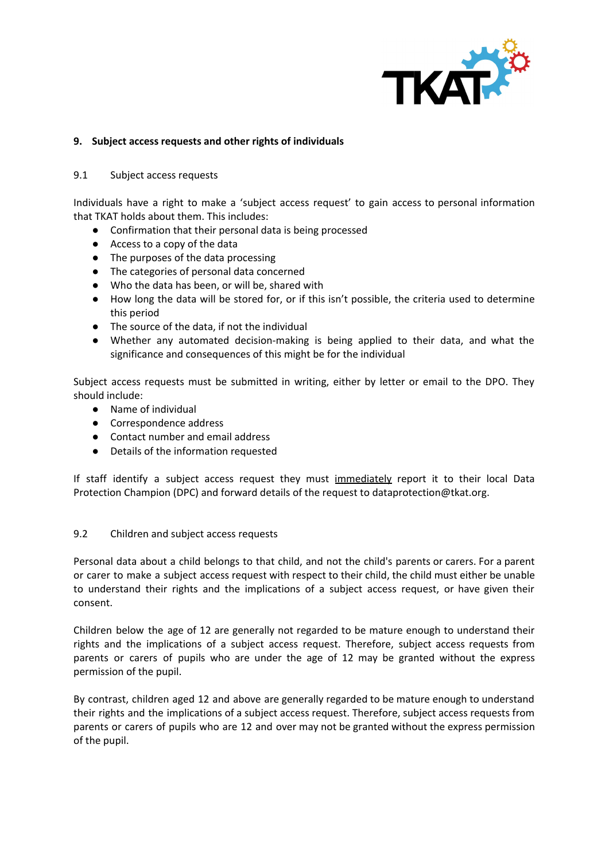

## <span id="page-6-0"></span>**9. Subject access requests and other rights of individuals**

#### 9.1 Subject access requests

Individuals have a right to make a 'subject access request' to gain access to personal information that TKAT holds about them. This includes:

- Confirmation that their personal data is being processed
- Access to a copy of the data
- The purposes of the data processing
- The categories of personal data concerned
- Who the data has been, or will be, shared with
- How long the data will be stored for, or if this isn't possible, the criteria used to determine this period
- The source of the data, if not the individual
- Whether any automated decision-making is being applied to their data, and what the significance and consequences of this might be for the individual

Subject access requests must be submitted in writing, either by letter or email to the DPO. They should include:

- Name of individual
- Correspondence address
- Contact number and email address
- Details of the information requested

If staff identify a subject access request they must immediately report it to their local Data Protection Champion (DPC) and forward details of the request to dataprotection@tkat.org.

#### 9.2 Children and subject access requests

Personal data about a child belongs to that child, and not the child's parents or carers. For a parent or carer to make a subject access request with respect to their child, the child must either be unable to understand their rights and the implications of a subject access request, or have given their consent.

Children below the age of 12 are generally not regarded to be mature enough to understand their rights and the implications of a subject access request. Therefore, subject access requests from parents or carers of pupils who are under the age of 12 may be granted without the express permission of the pupil.

By contrast, children aged 12 and above are generally regarded to be mature enough to understand their rights and the implications of a subject access request. Therefore, subject access requests from parents or carers of pupils who are 12 and over may not be granted without the express permission of the pupil.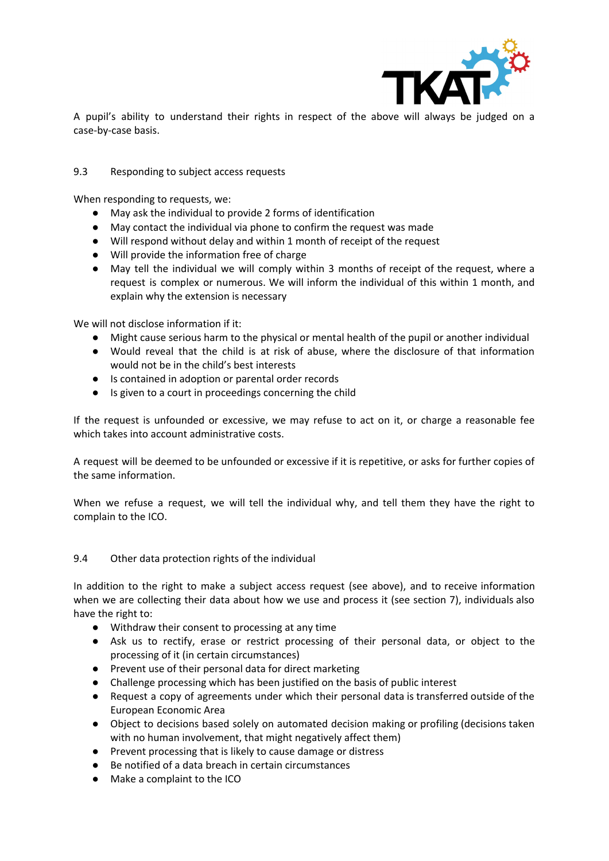

A pupil's ability to understand their rights in respect of the above will always be judged on a case-by-case basis.

## 9.3 Responding to subject access requests

When responding to requests, we:

- May ask the individual to provide 2 forms of identification
- May contact the individual via phone to confirm the request was made
- Will respond without delay and within 1 month of receipt of the request
- Will provide the information free of charge
- May tell the individual we will comply within 3 months of receipt of the request, where a request is complex or numerous. We will inform the individual of this within 1 month, and explain why the extension is necessary

We will not disclose information if it:

- Might cause serious harm to the physical or mental health of the pupil or another individual
- Would reveal that the child is at risk of abuse, where the disclosure of that information would not be in the child's best interests
- Is contained in adoption or parental order records
- Is given to a court in proceedings concerning the child

If the request is unfounded or excessive, we may refuse to act on it, or charge a reasonable fee which takes into account administrative costs.

A request will be deemed to be unfounded or excessive if it is repetitive, or asks for further copies of the same information.

When we refuse a request, we will tell the individual why, and tell them they have the right to complain to the ICO.

#### 9.4 Other data protection rights of the individual

In addition to the right to make a subject access request (see above), and to receive information when we are collecting their data about how we use and process it (see section 7), individuals also have the right to:

- Withdraw their consent to processing at any time
- Ask us to rectify, erase or restrict processing of their personal data, or object to the processing of it (in certain circumstances)
- Prevent use of their personal data for direct marketing
- Challenge processing which has been justified on the basis of public interest
- Request a copy of agreements under which their personal data is transferred outside of the European Economic Area
- Object to decisions based solely on automated decision making or profiling (decisions taken with no human involvement, that might negatively affect them)
- Prevent processing that is likely to cause damage or distress
- Be notified of a data breach in certain circumstances
- Make a complaint to the ICO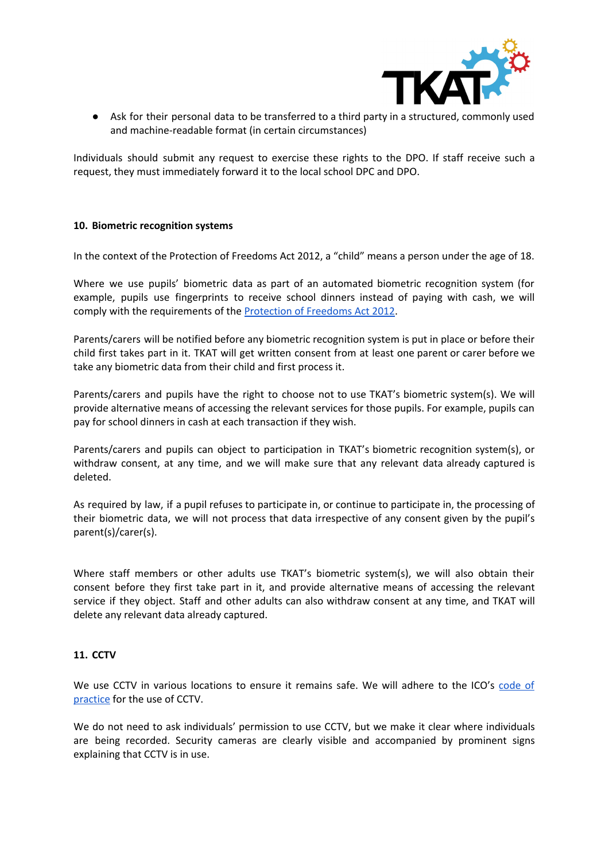

● Ask for their personal data to be transferred to a third party in a structured, commonly used and machine-readable format (in certain circumstances)

Individuals should submit any request to exercise these rights to the DPO. If staff receive such a request, they must immediately forward it to the local school DPC and DPO.

#### <span id="page-8-0"></span>**10. Biometric recognition systems**

In the context of the Protection of Freedoms Act 2012, a "child" means a person under the age of 18.

Where we use pupils' biometric data as part of an automated biometric recognition system (for example, pupils use fingerprints to receive school dinners instead of paying with cash, we will comply with th[e](https://www.legislation.gov.uk/ukpga/2012/9/section/26) requirements of the **[Protection](https://www.legislation.gov.uk/ukpga/2012/9/section/26) of Freedoms Act 2012**.

Parents/carers will be notified before any biometric recognition system is put in place or before their child first takes part in it. TKAT will get written consent from at least one parent or carer before we take any biometric data from their child and first process it.

Parents/carers and pupils have the right to choose not to use TKAT's biometric system(s). We will provide alternative means of accessing the relevant services for those pupils. For example, pupils can pay for school dinners in cash at each transaction if they wish.

Parents/carers and pupils can object to participation in TKAT's biometric recognition system(s), or withdraw consent, at any time, and we will make sure that any relevant data already captured is deleted.

As required by law, if a pupil refuses to participate in, or continue to participate in, the processing of their biometric data, we will not process that data irrespective of any consent given by the pupil's parent(s)/carer(s).

Where staff members or other adults use TKAT's biometric system(s), we will also obtain their consent before they first take part in it, and provide alternative means of accessing the relevant service if they object. Staff and other adults can also withdraw consent at any time, and TKAT will delete any relevant data already captured.

#### <span id="page-8-1"></span>**11. CCTV**

We use CCTV in various locations to ensure it remains safe. We will adhere to the ICO's [code](https://ico.org.uk/media/for-organisations/documents/1542/cctv-code-of-practice.pdf) of [practice](https://ico.org.uk/media/for-organisations/documents/1542/cctv-code-of-practice.pdf) for the use of CCTV.

We do not need to ask individuals' permission to use CCTV, but we make it clear where individuals are being recorded. Security cameras are clearly visible and accompanied by prominent signs explaining that CCTV is in use.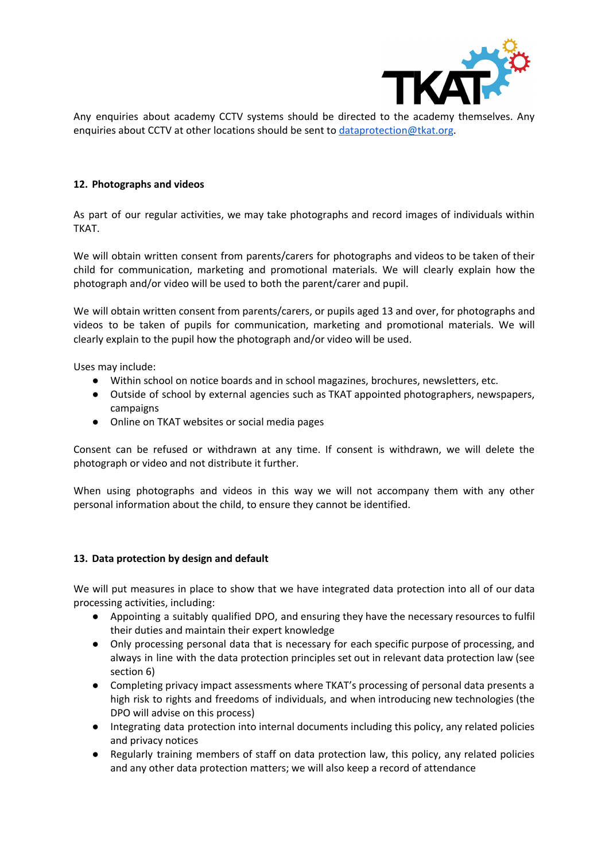

Any enquiries about academy CCTV systems should be directed to the academy themselves. Any enquiries about CCTV at other locations should be sent to [dataprotection@tkat.org.](mailto:dataprotection@tkat.org)

## <span id="page-9-0"></span>**12. Photographs and videos**

As part of our regular activities, we may take photographs and record images of individuals within TKAT.

We will obtain written consent from parents/carers for photographs and videos to be taken of their child for communication, marketing and promotional materials. We will clearly explain how the photograph and/or video will be used to both the parent/carer and pupil.

We will obtain written consent from parents/carers, or pupils aged 13 and over, for photographs and videos to be taken of pupils for communication, marketing and promotional materials. We will clearly explain to the pupil how the photograph and/or video will be used.

Uses may include:

- Within school on notice boards and in school magazines, brochures, newsletters, etc.
- Outside of school by external agencies such as TKAT appointed photographers, newspapers, campaigns
- Online on TKAT websites or social media pages

Consent can be refused or withdrawn at any time. If consent is withdrawn, we will delete the photograph or video and not distribute it further.

When using photographs and videos in this way we will not accompany them with any other personal information about the child, to ensure they cannot be identified.

# <span id="page-9-1"></span>**13. Data protection by design and default**

We will put measures in place to show that we have integrated data protection into all of our data processing activities, including:

- Appointing a suitably qualified DPO, and ensuring they have the necessary resources to fulfil their duties and maintain their expert knowledge
- Only processing personal data that is necessary for each specific purpose of processing, and always in line with the data protection principles set out in relevant data protection law (see section 6)
- Completing privacy impact assessments where TKAT's processing of personal data presents a high risk to rights and freedoms of individuals, and when introducing new technologies (the DPO will advise on this process)
- Integrating data protection into internal documents including this policy, any related policies and privacy notices
- Regularly training members of staff on data protection law, this policy, any related policies and any other data protection matters; we will also keep a record of attendance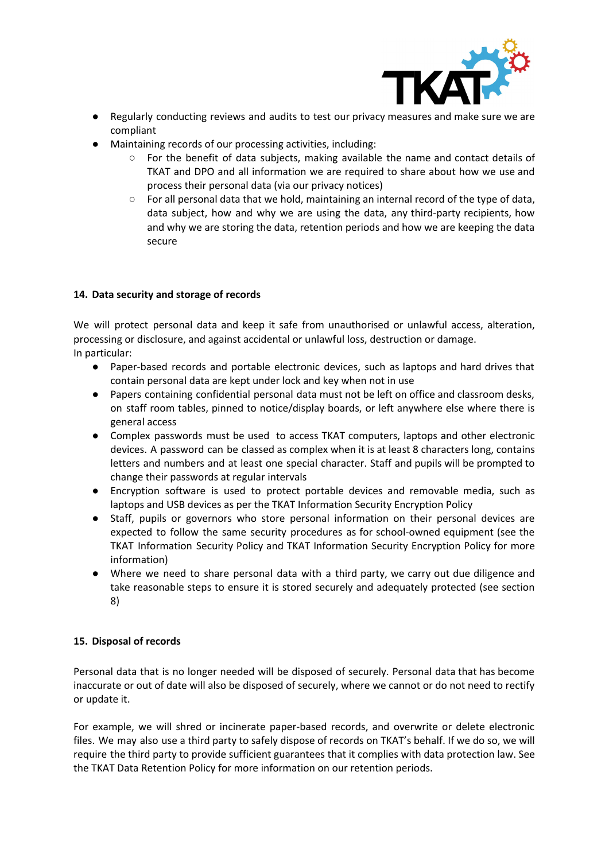

- Regularly conducting reviews and audits to test our privacy measures and make sure we are compliant
- Maintaining records of our processing activities, including:
	- For the benefit of data subjects, making available the name and contact details of TKAT and DPO and all information we are required to share about how we use and process their personal data (via our privacy notices)
	- For all personal data that we hold, maintaining an internal record of the type of data, data subject, how and why we are using the data, any third-party recipients, how and why we are storing the data, retention periods and how we are keeping the data secure

# <span id="page-10-0"></span>**14. Data security and storage of records**

We will protect personal data and keep it safe from unauthorised or unlawful access, alteration, processing or disclosure, and against accidental or unlawful loss, destruction or damage. In particular:

- Paper-based records and portable electronic devices, such as laptops and hard drives that contain personal data are kept under lock and key when not in use
- Papers containing confidential personal data must not be left on office and classroom desks, on staff room tables, pinned to notice/display boards, or left anywhere else where there is general access
- Complex passwords must be used to access TKAT computers, laptops and other electronic devices. A password can be classed as complex when it is at least 8 characters long, contains letters and numbers and at least one special character. Staff and pupils will be prompted to change their passwords at regular intervals
- Encryption software is used to protect portable devices and removable media, such as laptops and USB devices as per the TKAT Information Security Encryption Policy
- Staff, pupils or governors who store personal information on their personal devices are expected to follow the same security procedures as for school-owned equipment (see the TKAT Information Security Policy and TKAT Information Security Encryption Policy for more information)
- Where we need to share personal data with a third party, we carry out due diligence and take reasonable steps to ensure it is stored securely and adequately protected (see section 8)

#### <span id="page-10-1"></span>**15. Disposal of records**

Personal data that is no longer needed will be disposed of securely. Personal data that has become inaccurate or out of date will also be disposed of securely, where we cannot or do not need to rectify or update it.

For example, we will shred or incinerate paper-based records, and overwrite or delete electronic files. We may also use a third party to safely dispose of records on TKAT's behalf. If we do so, we will require the third party to provide sufficient guarantees that it complies with data protection law. See the TKAT Data Retention Policy for more information on our retention periods.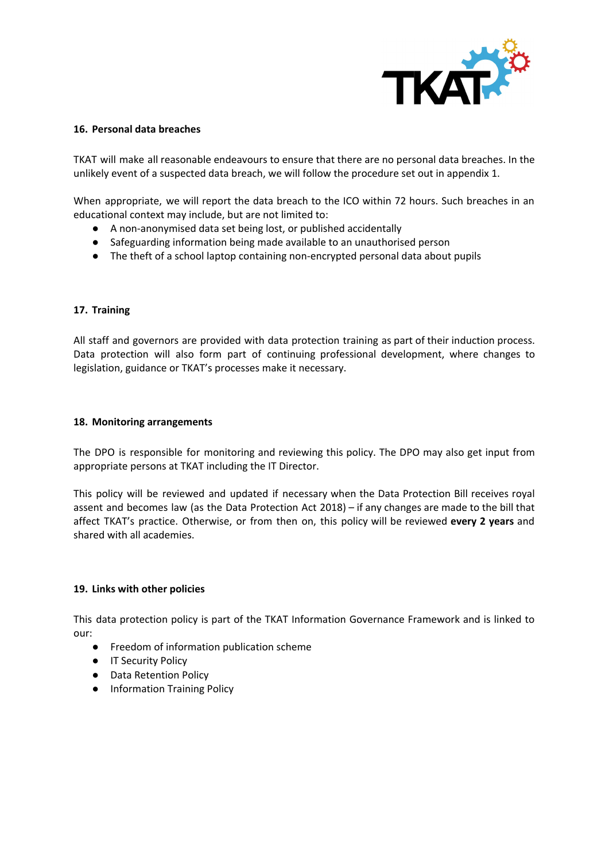

#### <span id="page-11-0"></span>**16. Personal data breaches**

TKAT will make all reasonable endeavours to ensure that there are no personal data breaches. In the unlikely event of a suspected data breach, we will follow the procedure set out in appendix 1.

When appropriate, we will report the data breach to the ICO within 72 hours. Such breaches in an educational context may include, but are not limited to:

- A non-anonymised data set being lost, or published accidentally
- Safeguarding information being made available to an unauthorised person
- The theft of a school laptop containing non-encrypted personal data about pupils

#### <span id="page-11-1"></span>**17. Training**

All staff and governors are provided with data protection training as part of their induction process. Data protection will also form part of continuing professional development, where changes to legislation, guidance or TKAT's processes make it necessary.

#### <span id="page-11-2"></span>**18. Monitoring arrangements**

The DPO is responsible for monitoring and reviewing this policy. The DPO may also get input from appropriate persons at TKAT including the IT Director.

This policy will be reviewed and updated if necessary when the Data Protection Bill receives royal assent and becomes law (as the Data Protection Act 2018) – if any changes are made to the bill that affect TKAT's practice. Otherwise, or from then on, this policy will be reviewed **every 2 years** and shared with all academies.

#### <span id="page-11-3"></span>**19. Links with other policies**

This data protection policy is part of the TKAT Information Governance Framework and is linked to our:

- Freedom of information publication scheme
- IT Security Policy
- Data Retention Policy
- Information Training Policy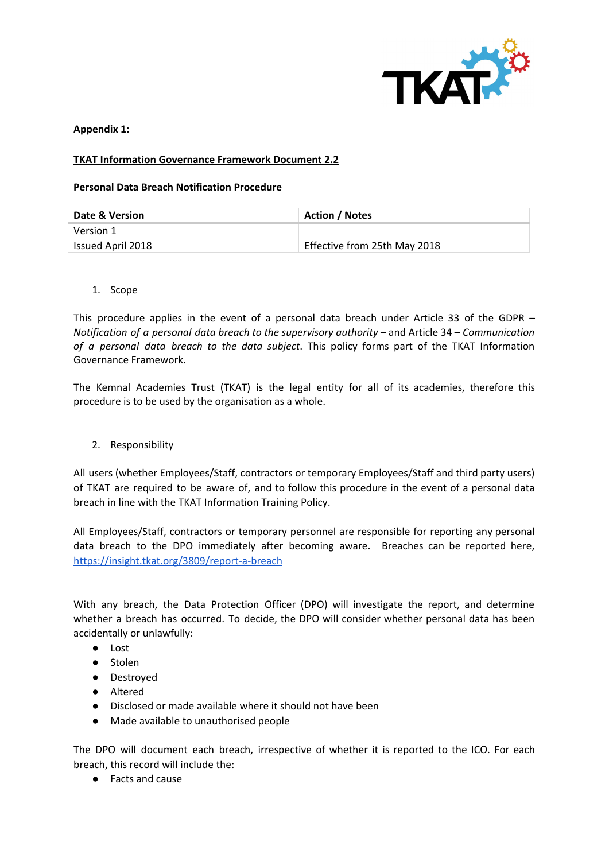

<span id="page-12-0"></span>**Appendix 1:**

# **TKAT Information Governance Framework Document 2.2**

#### **Personal Data Breach Notification Procedure**

| <b>Date &amp; Version</b> | <b>Action / Notes</b>        |
|---------------------------|------------------------------|
| Version 1                 |                              |
| Issued April 2018         | Effective from 25th May 2018 |

<span id="page-12-1"></span>1. Scope

This procedure applies in the event of a personal data breach under Article 33 of the GDPR – *Notification of a personal data breach to the supervisory authority* – and Article 34 – *Communication of a personal data breach to the data subject*. This policy forms part of the TKAT Information Governance Framework.

The Kemnal Academies Trust (TKAT) is the legal entity for all of its academies, therefore this procedure is to be used by the organisation as a whole.

<span id="page-12-2"></span>2. Responsibility

All users (whether Employees/Staff, contractors or temporary Employees/Staff and third party users) of TKAT are required to be aware of, and to follow this procedure in the event of a personal data breach in line with the TKAT Information Training Policy.

All Employees/Staff, contractors or temporary personnel are responsible for reporting any personal data breach to the DPO immediately after becoming aware. Breaches can be reported here, <https://insight.tkat.org/3809/report-a-breach>

With any breach, the Data Protection Officer (DPO) will investigate the report, and determine whether a breach has occurred. To decide, the DPO will consider whether personal data has been accidentally or unlawfully:

- Lost
- Stolen
- Destroyed
- Altered
- Disclosed or made available where it should not have been
- Made available to unauthorised people

The DPO will document each breach, irrespective of whether it is reported to the ICO. For each breach, this record will include the:

● Facts and cause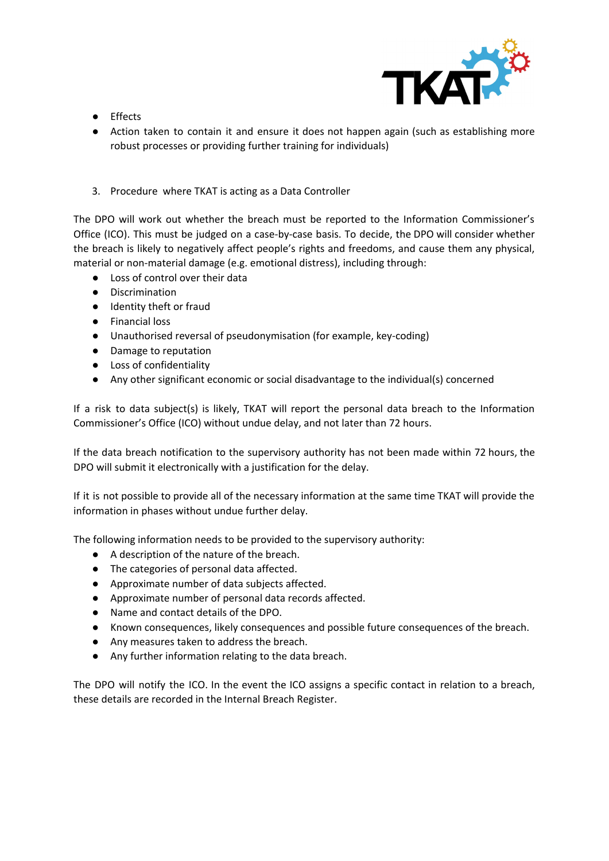

- Effects
- Action taken to contain it and ensure it does not happen again (such as establishing more robust processes or providing further training for individuals)
- <span id="page-13-0"></span>3. Procedure where TKAT is acting as a Data Controller

The DPO will work out whether the breach must be reported to the Information Commissioner's Office (ICO). This must be judged on a case-by-case basis. To decide, the DPO will consider whether the breach is likely to negatively affect people's rights and freedoms, and cause them any physical, material or non-material damage (e.g. emotional distress), including through:

- Loss of control over their data
- Discrimination
- Identity theft or fraud
- Financial loss
- Unauthorised reversal of pseudonymisation (for example, key-coding)
- Damage to reputation
- Loss of confidentiality
- Any other significant economic or social disadvantage to the individual(s) concerned

If a risk to data subject(s) is likely, TKAT will report the personal data breach to the Information Commissioner's Office (ICO) without undue delay, and not later than 72 hours.

If the data breach notification to the supervisory authority has not been made within 72 hours, the DPO will submit it electronically with a justification for the delay.

If it is not possible to provide all of the necessary information at the same time TKAT will provide the information in phases without undue further delay.

The following information needs to be provided to the supervisory authority:

- A description of the nature of the breach.
- The categories of personal data affected.
- Approximate number of data subjects affected.
- Approximate number of personal data records affected.
- Name and contact details of the DPO.
- Known consequences, likely consequences and possible future consequences of the breach.
- Any measures taken to address the breach.
- Any further information relating to the data breach.

The DPO will notify the ICO. In the event the ICO assigns a specific contact in relation to a breach, these details are recorded in the Internal Breach Register.